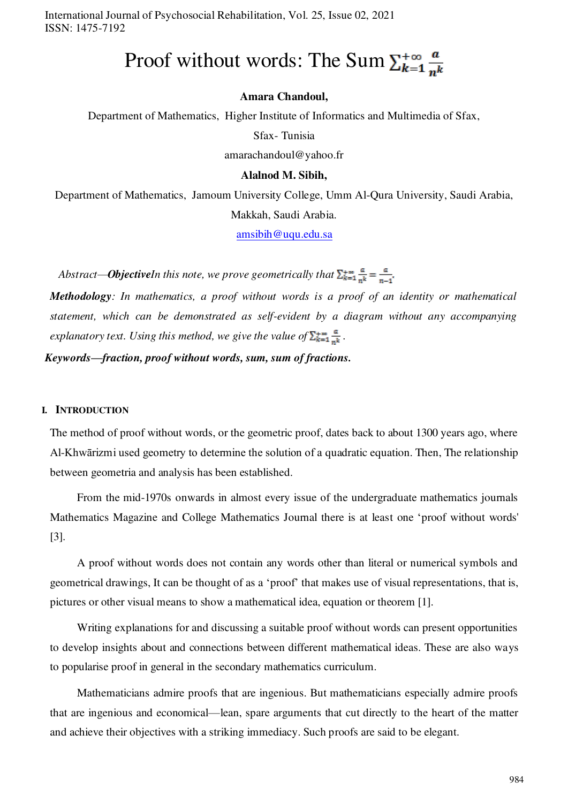International Journal of Psychosocial Rehabilitation, Vol. 25, Issue 02, 2021 ISSN: 1475-7192

# Proof without words: The Sum  $\sum_{k=1}^{+\infty} \frac{a}{nk}$

#### **Amara Chandoul,**

Department of Mathematics, Higher Institute of Informatics and Multimedia of Sfax,

Sfax- Tunisia

amarachandoul@yahoo.fr

#### **Alalnod M. Sibih,**

Department of Mathematics, Jamoum University College, Umm Al-Qura University, Saudi Arabia,

Makkah, Saudi Arabia.

[amsibih@uqu.edu.sa](mailto:amsibih@uqu.edu.sa)

*Abstract—ObjectiveIn this note, we prove geometrically that*  $\sum_{k=1}^{+\infty} \frac{a}{nk} = \frac{a}{n-1}$ .

*Methodology: In mathematics, a proof without words is a proof of an identity or mathematical statement, which can be demonstrated as self-evident by a diagram without any accompanying explanatory text. Using this method, we give the value of*  $\sum_{k=1}^{+\infty} \frac{a}{n^k}$ .

*Keywords—fraction, proof without words, sum, sum of fractions.* 

#### **I. INTRODUCTION**

The method of proof without words, or the geometric proof, dates back to about 1300 years ago, where Al-Khwārizmi used geometry to determine the solution of a quadratic equation. Then, The relationship between geometria and analysis has been established.

From the mid-1970s onwards in almost every issue of the undergraduate mathematics journals Mathematics Magazine and College Mathematics Journal there is at least one 'proof without words' [3].

A proof without words does not contain any words other than literal or numerical symbols and geometrical drawings, It can be thought of as a 'proof' that makes use of visual representations, that is, pictures or other visual means to show a mathematical idea, equation or theorem [1].

Writing explanations for and discussing a suitable proof without words can present opportunities to develop insights about and connections between different mathematical ideas. These are also ways to popularise proof in general in the secondary mathematics curriculum.

Mathematicians admire proofs that are ingenious. But mathematicians especially admire proofs that are ingenious and economical—lean, spare arguments that cut directly to the heart of the matter and achieve their objectives with a striking immediacy. Such proofs are said to be elegant.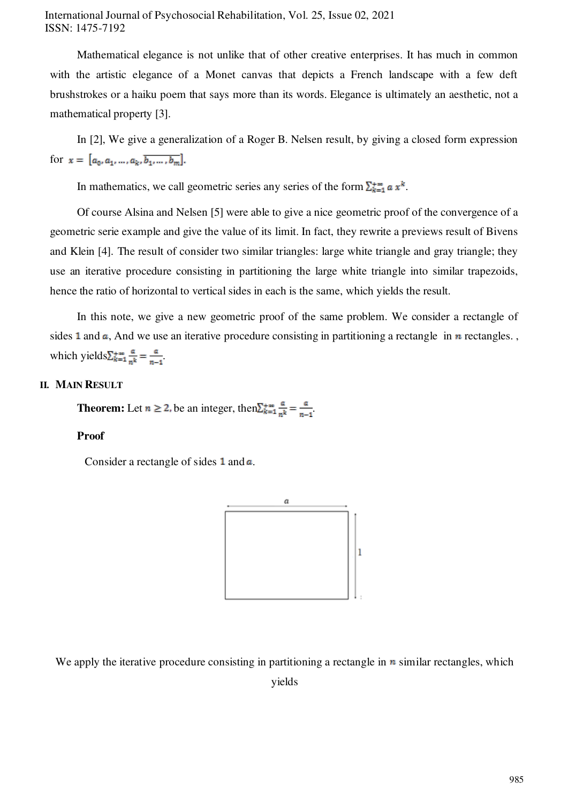# International Journal of Psychosocial Rehabilitation, Vol. 25, Issue 02, 2021 ISSN: 1475-7192

Mathematical elegance is not unlike that of other creative enterprises. It has much in common with the artistic elegance of a Monet canvas that depicts a French landscape with a few deft brushstrokes or a haiku poem that says more than its words. Elegance is ultimately an aesthetic, not a mathematical property [3].

In [2], We give a generalization of a Roger B. Nelsen result, by giving a closed form expression for  $x = [a_0, a_1, ..., a_k, b_1, ..., b_m].$ 

In mathematics, we call geometric series any series of the form  $\sum_{k=1}^{+\infty} a x^k$ .

Of course Alsina and Nelsen [5] were able to give a nice geometric proof of the convergence of a geometric serie example and give the value of its limit. In fact, they rewrite a previews result of Bivens and Klein [4]. The result of consider two similar triangles: large white triangle and gray triangle; they use an iterative procedure consisting in partitioning the large white triangle into similar trapezoids, hence the ratio of horizontal to vertical sides in each is the same, which yields the result.

In this note, we give a new geometric proof of the same problem. We consider a rectangle of sides 1 and  $\alpha$ , And we use an iterative procedure consisting in partitioning a rectangle in  $\eta$  rectangles. which yields  $\sum_{k=1}^{+\infty} \frac{a}{nk} = \frac{a}{n+1}$ .

#### **II. MAIN RESULT**

**Theorem:** Let  $n \ge 2$ , be an integer, then  $\sum_{k=1}^{+\infty} \frac{a}{n^k} = \frac{a}{n-1}$ .

### **Proof**

Consider a rectangle of sides  $1$  and  $\alpha$ .



We apply the iterative procedure consisting in partitioning a rectangle in  $\bf{n}$  similar rectangles, which yields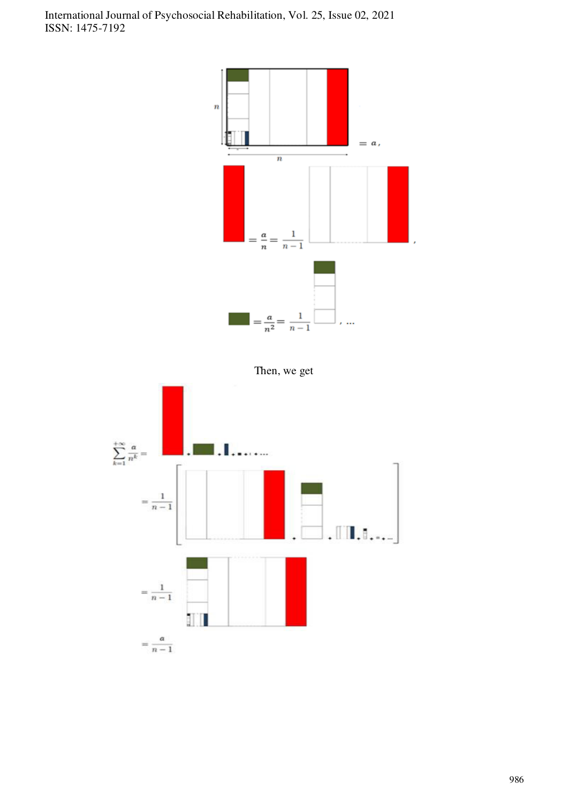

Then, we get